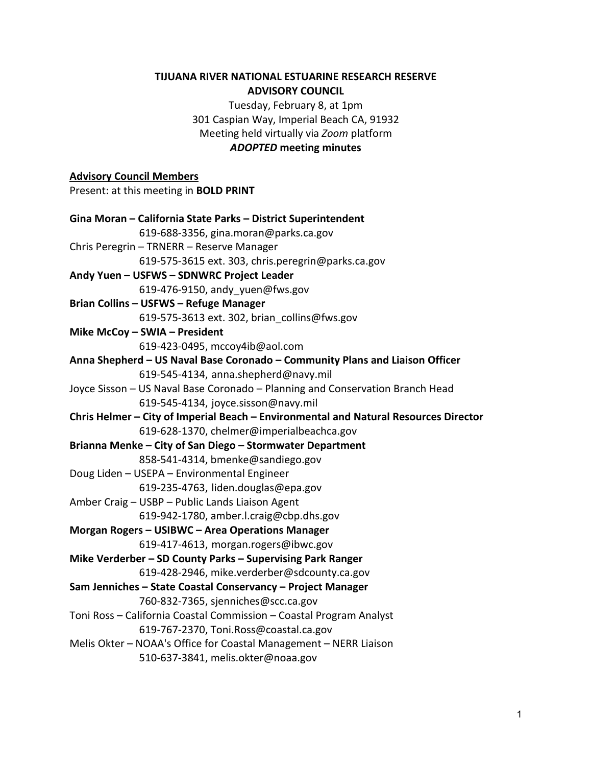#### **TIJUANA RIVER NATIONAL ESTUARINE RESEARCH RESERVE ADVISORY COUNCIL**

Tuesday, February 8, at 1pm 301 Caspian Way, Imperial Beach CA, 91932 Meeting held virtually via *Zoom* platform *ADOPTED* **meeting minutes**

# **Advisory Council Members**  Present: at this meeting in **BOLD PRINT Gina Moran – California State Parks – District Superintendent** 619-688-3356, gina.moran@parks.ca.gov Chris Peregrin – TRNERR – Reserve Manager 619-575-3615 ext. 303, chris.peregrin@parks.ca.gov **Andy Yuen – USFWS – SDNWRC Project Leader** 619-476-9150, andy\_yuen@fws.gov **Brian Collins – USFWS – Refuge Manager** 619-575-3613 ext. 302, [brian\\_collins@fws.gov](mailto:brian_collins@fws.gov) **Mike McCoy – SWIA – President** 619-423-0495, mccoy4ib@aol.com **Anna Shepherd – US Naval Base Coronado – Community Plans and Liaison Officer** 619-545-4134, anna.shepherd@navy.mil Joyce Sisson – US Naval Base Coronado – Planning and Conservation Branch Head 619-545-4134, joyce.sisson@navy.mil **Chris Helmer – City of Imperial Beach – Environmental and Natural Resources Director** 619-628-1370, chelmer@imperialbeachca.gov **Brianna Menke – City of San Diego – Stormwater Department** 858-541-4314, bmenke@sandiego.gov Doug Liden – USEPA – Environmental Engineer 619-235-4763, liden.douglas@epa.gov Amber Craig – USBP – Public Lands Liaison Agent 619-942-1780, amber.l.craig@cbp.dhs.gov **Morgan Rogers – USIBWC – Area Operations Manager** 619-417-4613, morgan.rogers@ibwc.gov **Mike Verderber – SD County Parks – Supervising Park Ranger** 619-428-2946, mike.verderber@sdcounty.ca.gov **Sam Jenniches – State Coastal Conservancy – Project Manager** 760-832-7365, sjenniches@scc.ca.gov Toni Ross – California Coastal Commission – Coastal Program Analyst 619-767-2370, Toni.Ross@coastal.ca.gov Melis Okter – NOAA's Office for Coastal Management – NERR Liaison 510-637-3841, melis.okter@noaa.gov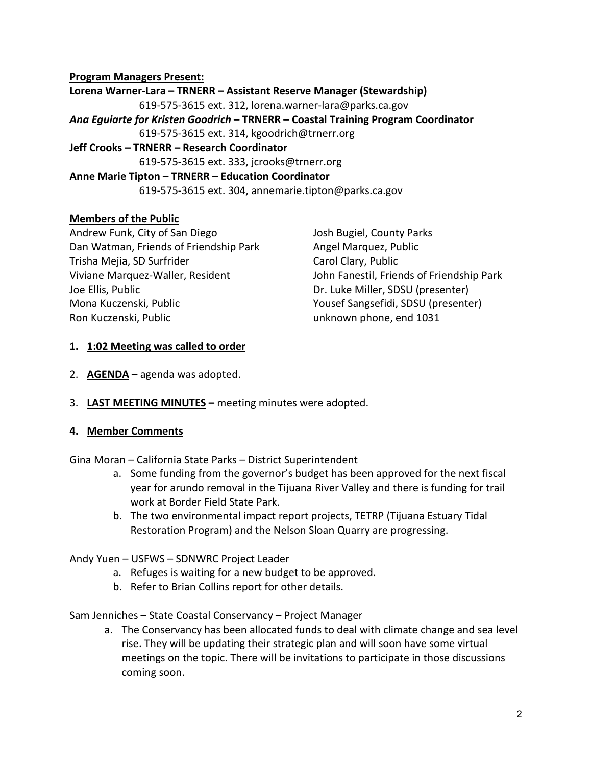#### **Program Managers Present:**

**Lorena Warner-Lara – TRNERR – Assistant Reserve Manager (Stewardship)** 619-575-3615 ext. 312, lorena.warner-lara@parks.ca.gov *Ana Eguiarte for Kristen Goodrich* **– TRNERR – Coastal Training Program Coordinator** 619-575-3615 ext. 314, kgoodrich@trnerr.org **Jeff Crooks – TRNERR – Research Coordinator** 619-575-3615 ext. 333, jcrooks@trnerr.org

#### **Anne Marie Tipton – TRNERR – Education Coordinator**

619-575-3615 ext. 304, annemarie.tipton@parks.ca.gov

#### **Members of the Public**

Andrew Funk, City of San Diego Dan Watman, Friends of Friendship Park Trisha Mejia, SD Surfrider Viviane Marquez-Waller, Resident Joe Ellis, Public Mona Kuczenski, Public Ron Kuczenski, Public

Josh Bugiel, County Parks Angel Marquez, Public Carol Clary, Public John Fanestil, Friends of Friendship Park Dr. Luke Miller, SDSU (presenter) Yousef Sangsefidi, SDSU (presenter) unknown phone, end 1031

#### **1. 1:02 Meeting was called to order**

- 2. **AGENDA** agenda was adopted.
- 3. **LAST MEETING MINUTES** meeting minutes were adopted.

#### **4. Member Comments**

Gina Moran – California State Parks – District Superintendent

- a. Some funding from the governor's budget has been approved for the next fiscal year for arundo removal in the Tijuana River Valley and there is funding for trail work at Border Field State Park.
- b. The two environmental impact report projects, TETRP (Tijuana Estuary Tidal Restoration Program) and the Nelson Sloan Quarry are progressing.

#### Andy Yuen – USFWS – SDNWRC Project Leader

- a. Refuges is waiting for a new budget to be approved.
- b. Refer to Brian Collins report for other details.

#### Sam Jenniches – State Coastal Conservancy – Project Manager

a. The Conservancy has been allocated funds to deal with climate change and sea level rise. They will be updating their strategic plan and will soon have some virtual meetings on the topic. There will be invitations to participate in those discussions coming soon.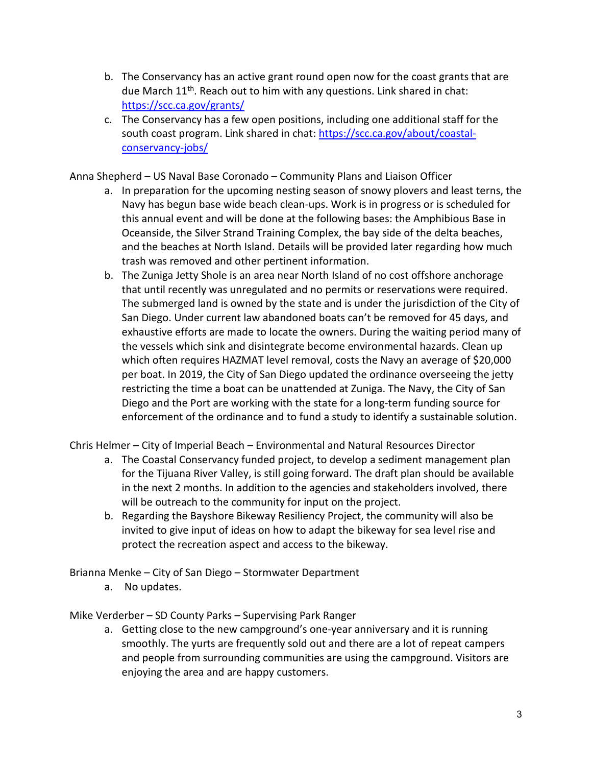- b. The Conservancy has an active grant round open now for the coast grants that are due March  $11<sup>th</sup>$ . Reach out to him with any questions. Link shared in chat: <https://scc.ca.gov/grants/>
- c. The Conservancy has a few open positions, including one additional staff for the south coast program. Link shared in chat[: https://scc.ca.gov/about/coastal](https://scc.ca.gov/about/coastal-conservancy-jobs/)[conservancy-jobs/](https://scc.ca.gov/about/coastal-conservancy-jobs/)

Anna Shepherd – US Naval Base Coronado – Community Plans and Liaison Officer

- a. In preparation for the upcoming nesting season of snowy plovers and least terns, the Navy has begun base wide beach clean-ups. Work is in progress or is scheduled for this annual event and will be done at the following bases: the Amphibious Base in Oceanside, the Silver Strand Training Complex, the bay side of the delta beaches, and the beaches at North Island. Details will be provided later regarding how much trash was removed and other pertinent information.
- b. The Zuniga Jetty Shole is an area near North Island of no cost offshore anchorage that until recently was unregulated and no permits or reservations were required. The submerged land is owned by the state and is under the jurisdiction of the City of San Diego. Under current law abandoned boats can't be removed for 45 days, and exhaustive efforts are made to locate the owners. During the waiting period many of the vessels which sink and disintegrate become environmental hazards. Clean up which often requires HAZMAT level removal, costs the Navy an average of \$20,000 per boat. In 2019, the City of San Diego updated the ordinance overseeing the jetty restricting the time a boat can be unattended at Zuniga. The Navy, the City of San Diego and the Port are working with the state for a long-term funding source for enforcement of the ordinance and to fund a study to identify a sustainable solution.

Chris Helmer – City of Imperial Beach – Environmental and Natural Resources Director

- a. The Coastal Conservancy funded project, to develop a sediment management plan for the Tijuana River Valley, is still going forward. The draft plan should be available in the next 2 months. In addition to the agencies and stakeholders involved, there will be outreach to the community for input on the project.
- b. Regarding the Bayshore Bikeway Resiliency Project, the community will also be invited to give input of ideas on how to adapt the bikeway for sea level rise and protect the recreation aspect and access to the bikeway.

Brianna Menke – City of San Diego – Stormwater Department

a. No updates.

Mike Verderber – SD County Parks – Supervising Park Ranger

a. Getting close to the new campground's one-year anniversary and it is running smoothly. The yurts are frequently sold out and there are a lot of repeat campers and people from surrounding communities are using the campground. Visitors are enjoying the area and are happy customers.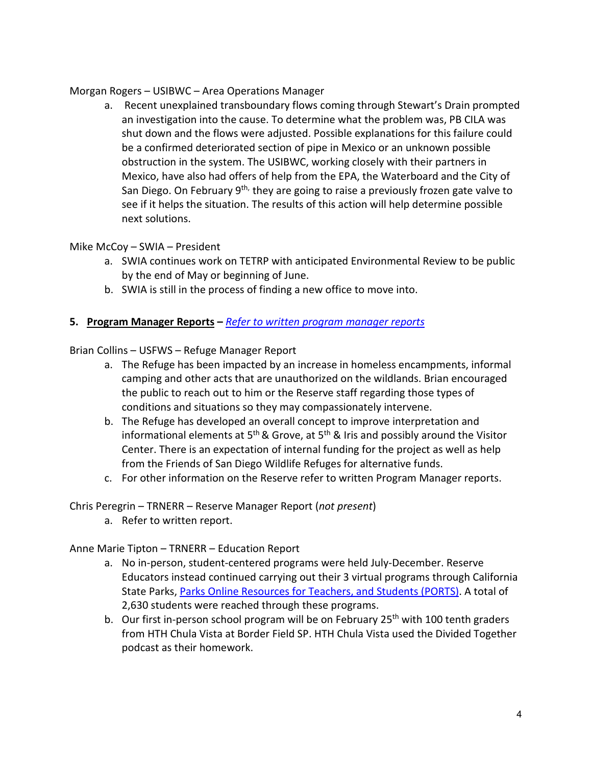#### Morgan Rogers – USIBWC – Area Operations Manager

a. Recent unexplained transboundary flows coming through Stewart's Drain prompted an investigation into the cause. To determine what the problem was, PB CILA was shut down and the flows were adjusted. Possible explanations for this failure could be a confirmed deteriorated section of pipe in Mexico or an unknown possible obstruction in the system. The USIBWC, working closely with their partners in Mexico, have also had offers of help from the EPA, the Waterboard and the City of San Diego. On February 9<sup>th,</sup> they are going to raise a previously frozen gate valve to see if it helps the situation. The results of this action will help determine possible next solutions.

## Mike McCoy – SWIA – President

- a. SWIA continues work on TETRP with anticipated Environmental Review to be public by the end of May or beginning of June.
- b. SWIA is still in the process of finding a new office to move into.

# **5. Program Manager Reports –** *[Refer to written program manager reports](https://trnerr.org/wp-content/uploads/2022/02/TRNERR_Program_Manager_Reports_July-Dec2021.pdf)*

Brian Collins – USFWS – Refuge Manager Report

- a. The Refuge has been impacted by an increase in homeless encampments, informal camping and other acts that are unauthorized on the wildlands. Brian encouraged the public to reach out to him or the Reserve staff regarding those types of conditions and situations so they may compassionately intervene.
- b. The Refuge has developed an overall concept to improve interpretation and informational elements at  $5<sup>th</sup>$  & Grove, at  $5<sup>th</sup>$  & Iris and possibly around the Visitor Center. There is an expectation of internal funding for the project as well as help from the Friends of San Diego Wildlife Refuges for alternative funds.
- c. For other information on the Reserve refer to written Program Manager reports.

Chris Peregrin – TRNERR – Reserve Manager Report (*not present*)

a. Refer to written report.

## Anne Marie Tipton – TRNERR – Education Report

- a. No in-person, student-centered programs were held July-December. Reserve Educators instead continued carrying out their 3 virtual programs through California State Parks, [Parks Online Resources for Teachers,](https://www.ports-ca.us/PORTSon-demand/tijuana-estuary-natural-preserve) and Students (PORTS). A total of 2,630 students were reached through these programs.
- b. Our first in-person school program will be on February 25<sup>th</sup> with 100 tenth graders from HTH Chula Vista at Border Field SP. HTH Chula Vista used the Divided Together podcast as their homework.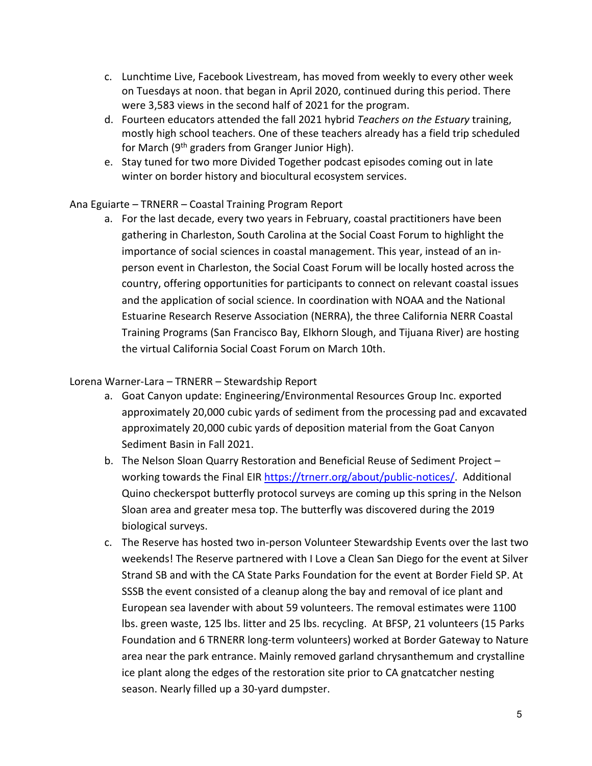- c. Lunchtime Live, Facebook Livestream, has moved from weekly to every other week on Tuesdays at noon. that began in April 2020, continued during this period. There were 3,583 views in the second half of 2021 for the program.
- d. Fourteen educators attended the fall 2021 hybrid *Teachers on the Estuary* training, mostly high school teachers. One of these teachers already has a field trip scheduled for March (9<sup>th</sup> graders from Granger Junior High).
- e. Stay tuned for two more Divided Together podcast episodes coming out in late winter on border history and biocultural ecosystem services.

# Ana Eguiarte – TRNERR – Coastal Training Program Report

a. For the last decade, every two years in February, coastal practitioners have been gathering in Charleston, South Carolina at the Social Coast Forum to highlight the importance of social sciences in coastal management. This year, instead of an inperson event in Charleston, the Social Coast Forum will be locally hosted across the country, offering opportunities for participants to connect on relevant coastal issues and the application of social science. In coordination with NOAA and the National Estuarine Research Reserve Association (NERRA), the three California NERR Coastal Training Programs (San Francisco Bay, Elkhorn Slough, and Tijuana River) are hosting the virtual California Social Coast Forum on March 10th.

## Lorena Warner-Lara – TRNERR – Stewardship Report

- a. Goat Canyon update: Engineering/Environmental Resources Group Inc. exported approximately 20,000 cubic yards of sediment from the processing pad and excavated approximately 20,000 cubic yards of deposition material from the Goat Canyon Sediment Basin in Fall 2021.
- b. The Nelson Sloan Quarry Restoration and Beneficial Reuse of Sediment Project working towards the Final EIR [https://trnerr.org/about/public-notices/.](https://trnerr.org/about/public-notices/) Additional Quino checkerspot butterfly protocol surveys are coming up this spring in the Nelson Sloan area and greater mesa top. The butterfly was discovered during the 2019 biological surveys.
- c. The Reserve has hosted two in-person Volunteer Stewardship Events over the last two weekends! The Reserve partnered with I Love a Clean San Diego for the event at Silver Strand SB and with the CA State Parks Foundation for the event at Border Field SP. At SSSB the event consisted of a cleanup along the bay and removal of ice plant and European sea lavender with about 59 volunteers. The removal estimates were 1100 lbs. green waste, 125 lbs. litter and 25 lbs. recycling. At BFSP, 21 volunteers (15 Parks Foundation and 6 TRNERR long-term volunteers) worked at Border Gateway to Nature area near the park entrance. Mainly removed garland chrysanthemum and crystalline ice plant along the edges of the restoration site prior to CA gnatcatcher nesting season. Nearly filled up a 30-yard dumpster.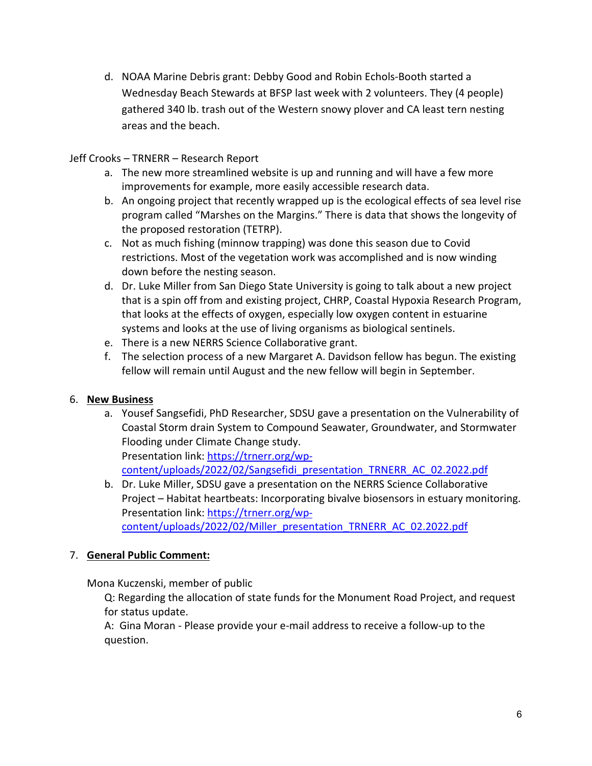d. NOAA Marine Debris grant: Debby Good and Robin Echols-Booth started a Wednesday Beach Stewards at BFSP last week with 2 volunteers. They (4 people) gathered 340 lb. trash out of the Western snowy plover and CA least tern nesting areas and the beach.

Jeff Crooks – TRNERR – Research Report

- a. The new more streamlined website is up and running and will have a few more improvements for example, more easily accessible research data.
- b. An ongoing project that recently wrapped up is the ecological effects of sea level rise program called "Marshes on the Margins." There is data that shows the longevity of the proposed restoration (TETRP).
- c. Not as much fishing (minnow trapping) was done this season due to Covid restrictions. Most of the vegetation work was accomplished and is now winding down before the nesting season.
- d. Dr. Luke Miller from San Diego State University is going to talk about a new project that is a spin off from and existing project, CHRP, Coastal Hypoxia Research Program, that looks at the effects of oxygen, especially low oxygen content in estuarine systems and looks at the use of living organisms as biological sentinels.
- e. There is a new NERRS Science Collaborative grant.
- f. The selection process of a new Margaret A. Davidson fellow has begun. The existing fellow will remain until August and the new fellow will begin in September.

# 6. **New Business**

a. Yousef Sangsefidi, PhD Researcher, SDSU gave a presentation on the Vulnerability of Coastal Storm drain System to Compound Seawater, Groundwater, and Stormwater Flooding under Climate Change study. Presentation link: [https://trnerr.org/wp-](https://trnerr.org/wp-content/uploads/2022/02/Sangsefidi_presentation_TRNERR_AC_02.2022.pdf)

[content/uploads/2022/02/Sangsefidi\\_presentation\\_TRNERR\\_AC\\_02.2022.pdf](https://trnerr.org/wp-content/uploads/2022/02/Sangsefidi_presentation_TRNERR_AC_02.2022.pdf) 

b. Dr. Luke Miller, SDSU gave a presentation on the NERRS Science Collaborative Project – Habitat heartbeats: Incorporating bivalve biosensors in estuary monitoring. Presentation link: [https://trnerr.org/wp](https://trnerr.org/wp-content/uploads/2022/02/Miller_presentation_TRNERR_AC_02.2022.pdf)[content/uploads/2022/02/Miller\\_presentation\\_TRNERR\\_AC\\_02.2022.pdf](https://trnerr.org/wp-content/uploads/2022/02/Miller_presentation_TRNERR_AC_02.2022.pdf) 

## 7. **General Public Comment:**

Mona Kuczenski, member of public

Q: Regarding the allocation of state funds for the Monument Road Project, and request for status update.

A: Gina Moran - Please provide your e-mail address to receive a follow-up to the question.